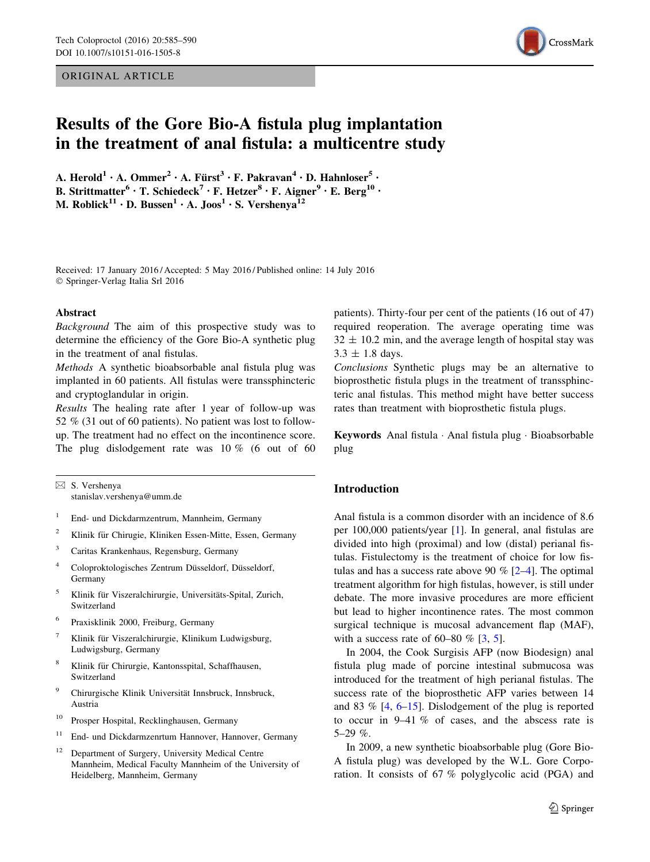#### ORIGINAL ARTICLE



# Results of the Gore Bio-A fistula plug implantation in the treatment of anal fistula: a multicentre study

A. Herold<sup>1</sup> • A. Ommer<sup>2</sup> • A. Fürst<sup>3</sup> • F. Pakravan<sup>4</sup> • D. Hahnloser<sup>5</sup> • B. Strittmatter<sup>6</sup> · T. Schiedeck<sup>7</sup> · F. Hetzer<sup>8</sup> · F. Aigner<sup>9</sup> · E. Berg<sup>10</sup> · M. Roblick<sup>11</sup> • D. Bussen<sup>1</sup> • A. Joos<sup>1</sup> • S. Vershenya<sup>12</sup>

Received: 17 January 2016 / Accepted: 5 May 2016 / Published online: 14 July 2016 - Springer-Verlag Italia Srl 2016

#### Abstract

Background The aim of this prospective study was to determine the efficiency of the Gore Bio-A synthetic plug in the treatment of anal fistulas.

Methods A synthetic bioabsorbable anal fistula plug was implanted in 60 patients. All fistulas were transsphincteric and cryptoglandular in origin.

Results The healing rate after 1 year of follow-up was 52 % (31 out of 60 patients). No patient was lost to followup. The treatment had no effect on the incontinence score. The plug dislodgement rate was 10 % (6 out of 60

 $\boxtimes$  S. Vershenya stanislav.vershenya@umm.de

- <sup>1</sup> End- und Dickdarmzentrum, Mannheim, Germany
- <sup>2</sup> Klinik für Chirugie, Kliniken Essen-Mitte, Essen, Germany
- <sup>3</sup> Caritas Krankenhaus, Regensburg, Germany
- <sup>4</sup> Coloproktologisches Zentrum Düsseldorf, Düsseldorf, Germany
- <sup>5</sup> Klinik für Viszeralchirurgie, Universitäts-Spital, Zurich, Switzerland
- <sup>6</sup> Praxisklinik 2000, Freiburg, Germany
- <sup>7</sup> Klinik für Viszeralchirurgie, Klinikum Ludwigsburg, Ludwigsburg, Germany
- <sup>8</sup> Klinik für Chirurgie, Kantonsspital, Schaffhausen, Switzerland
- <sup>9</sup> Chirurgische Klinik Universität Innsbruck, Innsbruck, Austria
- <sup>10</sup> Prosper Hospital, Recklinghausen, Germany
- <sup>11</sup> End- und Dickdarmzenrtum Hannover, Hannover, Germany
- <sup>12</sup> Department of Surgery, University Medical Centre Mannheim, Medical Faculty Mannheim of the University of Heidelberg, Mannheim, Germany

patients). Thirty-four per cent of the patients (16 out of 47) required reoperation. The average operating time was  $32 \pm 10.2$  min, and the average length of hospital stay was  $3.3 \pm 1.8$  days.

Conclusions Synthetic plugs may be an alternative to bioprosthetic fistula plugs in the treatment of transsphincteric anal fistulas. This method might have better success rates than treatment with bioprosthetic fistula plugs.

Keywords Anal fistula · Anal fistula plug · Bioabsorbable plug

### Introduction

Anal fistula is a common disorder with an incidence of 8.6 per 100,000 patients/year [\[1](#page-4-0)]. In general, anal fistulas are divided into high (proximal) and low (distal) perianal fistulas. Fistulectomy is the treatment of choice for low fistulas and has a success rate above 90  $\%$  [[2–4\]](#page-4-0). The optimal treatment algorithm for high fistulas, however, is still under debate. The more invasive procedures are more efficient but lead to higher incontinence rates. The most common surgical technique is mucosal advancement flap (MAF), with a success rate of  $60-80\%$  [[3,](#page-4-0) [5](#page-4-0)].

In 2004, the Cook Surgisis AFP (now Biodesign) anal fistula plug made of porcine intestinal submucosa was introduced for the treatment of high perianal fistulas. The success rate of the bioprosthetic AFP varies between 14 and 83 % [\[4](#page-4-0), [6–15](#page-4-0)]. Dislodgement of the plug is reported to occur in 9–41 % of cases, and the abscess rate is  $5-29\%$ .

In 2009, a new synthetic bioabsorbable plug (Gore Bio-A fistula plug) was developed by the W.L. Gore Corporation. It consists of 67 % polyglycolic acid (PGA) and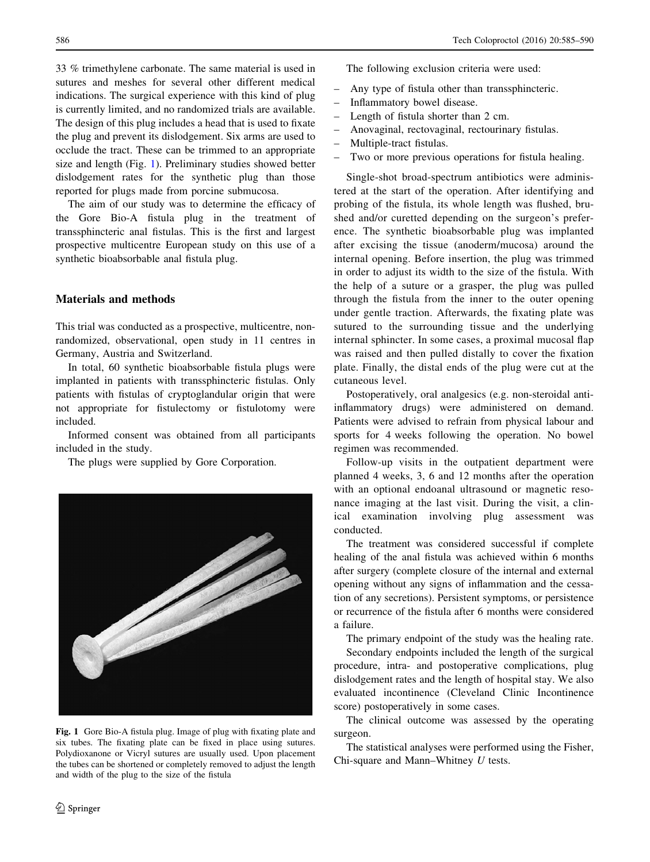33 % trimethylene carbonate. The same material is used in sutures and meshes for several other different medical indications. The surgical experience with this kind of plug is currently limited, and no randomized trials are available. The design of this plug includes a head that is used to fixate the plug and prevent its dislodgement. Six arms are used to occlude the tract. These can be trimmed to an appropriate size and length (Fig. 1). Preliminary studies showed better dislodgement rates for the synthetic plug than those reported for plugs made from porcine submucosa.

The aim of our study was to determine the efficacy of the Gore Bio-A fistula plug in the treatment of transsphincteric anal fistulas. This is the first and largest prospective multicentre European study on this use of a synthetic bioabsorbable anal fistula plug.

## Materials and methods

This trial was conducted as a prospective, multicentre, nonrandomized, observational, open study in 11 centres in Germany, Austria and Switzerland.

In total, 60 synthetic bioabsorbable fistula plugs were implanted in patients with transsphincteric fistulas. Only patients with fistulas of cryptoglandular origin that were not appropriate for fistulectomy or fistulotomy were included.

Informed consent was obtained from all participants included in the study.

The plugs were supplied by Gore Corporation.



Fig. 1 Gore Bio-A fistula plug. Image of plug with fixating plate and six tubes. The fixating plate can be fixed in place using sutures. Polydioxanone or Vicryl sutures are usually used. Upon placement the tubes can be shortened or completely removed to adjust the length and width of the plug to the size of the fistula

The following exclusion criteria were used:

- Any type of fistula other than transsphincteric.
- Inflammatory bowel disease.
- Length of fistula shorter than 2 cm.
- Anovaginal, rectovaginal, rectourinary fistulas.
- Multiple-tract fistulas.
- Two or more previous operations for fistula healing.

Single-shot broad-spectrum antibiotics were administered at the start of the operation. After identifying and probing of the fistula, its whole length was flushed, brushed and/or curetted depending on the surgeon's preference. The synthetic bioabsorbable plug was implanted after excising the tissue (anoderm/mucosa) around the internal opening. Before insertion, the plug was trimmed in order to adjust its width to the size of the fistula. With the help of a suture or a grasper, the plug was pulled through the fistula from the inner to the outer opening under gentle traction. Afterwards, the fixating plate was sutured to the surrounding tissue and the underlying internal sphincter. In some cases, a proximal mucosal flap was raised and then pulled distally to cover the fixation plate. Finally, the distal ends of the plug were cut at the cutaneous level.

Postoperatively, oral analgesics (e.g. non-steroidal antiinflammatory drugs) were administered on demand. Patients were advised to refrain from physical labour and sports for 4 weeks following the operation. No bowel regimen was recommended.

Follow-up visits in the outpatient department were planned 4 weeks, 3, 6 and 12 months after the operation with an optional endoanal ultrasound or magnetic resonance imaging at the last visit. During the visit, a clinical examination involving plug assessment was conducted.

The treatment was considered successful if complete healing of the anal fistula was achieved within 6 months after surgery (complete closure of the internal and external opening without any signs of inflammation and the cessation of any secretions). Persistent symptoms, or persistence or recurrence of the fistula after 6 months were considered a failure.

The primary endpoint of the study was the healing rate.

Secondary endpoints included the length of the surgical procedure, intra- and postoperative complications, plug dislodgement rates and the length of hospital stay. We also evaluated incontinence (Cleveland Clinic Incontinence score) postoperatively in some cases.

The clinical outcome was assessed by the operating surgeon.

The statistical analyses were performed using the Fisher, Chi-square and Mann–Whitney U tests.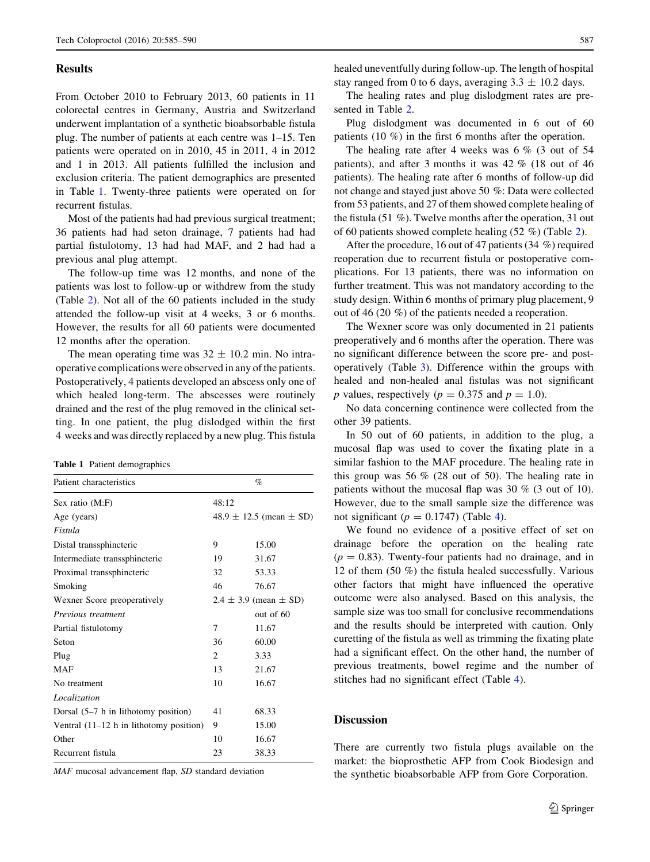#### **Results**

From October 2010 to February 2013, 60 patients in 11 colorectal centres in Germany, Austria and Switzerland underwent implantation of a synthetic bioabsorbable fistula plug. The number of patients at each centre was 1–15. Ten patients were operated on in 2010, 45 in 2011, 4 in 2012 and 1 in 2013. All patients fulfilled the inclusion and exclusion criteria. The patient demographics are presented in Table 1. Twenty-three patients were operated on for recurrent fistulas.

Most of the patients had had previous surgical treatment; 36 patients had had seton drainage, 7 patients had had partial fistulotomy, 13 had had MAF, and 2 had had a previous anal plug attempt.

The follow-up time was 12 months, and none of the patients was lost to follow-up or withdrew from the study (Table [2](#page-3-0)). Not all of the 60 patients included in the study attended the follow-up visit at 4 weeks, 3 or 6 months. However, the results for all 60 patients were documented 12 months after the operation.

The mean operating time was  $32 \pm 10.2$  min. No intraoperative complications were observed in any of the patients. Postoperatively, 4 patients developed an abscess only one of which healed long-term. The abscesses were routinely drained and the rest of the plug removed in the clinical setting. In one patient, the plug dislodged within the first 4 weeks and was directly replaced by a new plug. This fistula

|  |  |  | <b>Table 1</b> Patient demographics |
|--|--|--|-------------------------------------|
|--|--|--|-------------------------------------|

| Patient characteristics                    |                               | $\%$                            |  |
|--------------------------------------------|-------------------------------|---------------------------------|--|
| Sex ratio (M:F)                            | 48:12                         |                                 |  |
| Age (years)                                |                               | $48.9 \pm 12.5$ (mean $\pm$ SD) |  |
| Fistula                                    |                               |                                 |  |
| Distal transsphincteric                    | 9                             | 15.00                           |  |
| Intermediate transsphincteric              | 19                            | 31.67                           |  |
| Proximal transsphincteric                  | 32                            | 53.33                           |  |
| Smoking                                    | 46                            | 76.67                           |  |
| Wexner Score preoperatively                | $2.4 \pm 3.9$ (mean $\pm$ SD) |                                 |  |
| Previous treatment                         |                               | out of $60$                     |  |
| Partial fistulotomy                        | 7                             | 11.67                           |  |
| Seton                                      | 36                            | 60.00                           |  |
| Plug                                       | $\mathfrak{D}$                | 3.33                            |  |
| MAF                                        | 13                            | 21.67                           |  |
| No treatment                               | 10                            | 16.67                           |  |
| Localization                               |                               |                                 |  |
| Dorsal $(5-7 h)$ in lithotomy position)    | 41                            | 68.33                           |  |
| Ventral $(11-12 h)$ in lithotomy position) | 9                             | 15.00                           |  |
| Other                                      | 10                            | 16.67                           |  |
| Recurrent fistula                          | 23                            | 38.33                           |  |

MAF mucosal advancement flap, SD standard deviation

healed uneventfully during follow-up. The length of hospital stay ranged from 0 to 6 days, averaging  $3.3 \pm 10.2$  days.

The healing rates and plug dislodgment rates are presented in Table [2](#page-3-0).

Plug dislodgment was documented in 6 out of 60 patients (10 %) in the first 6 months after the operation.

The healing rate after 4 weeks was  $6\%$  (3 out of 54 patients), and after 3 months it was 42 % (18 out of 46 patients). The healing rate after 6 months of follow-up did not change and stayed just above 50 %: Data were collected from 53 patients, and 27 of them showed complete healing of the fistula (51 %). Twelve months after the operation, 31 out of 60 patients showed complete healing (52 %) (Table [2\)](#page-3-0).

After the procedure, 16 out of 47 patients (34 %) required reoperation due to recurrent fistula or postoperative complications. For 13 patients, there was no information on further treatment. This was not mandatory according to the study design. Within 6 months of primary plug placement, 9 out of 46 (20 %) of the patients needed a reoperation.

The Wexner score was only documented in 21 patients preoperatively and 6 months after the operation. There was no significant difference between the score pre- and postoperatively (Table [3](#page-3-0)). Difference within the groups with healed and non-healed anal fistulas was not significant p values, respectively ( $p = 0.375$  and  $p = 1.0$ ).

No data concerning continence were collected from the other 39 patients.

In 50 out of 60 patients, in addition to the plug, a mucosal flap was used to cover the fixating plate in a similar fashion to the MAF procedure. The healing rate in this group was 56 % (28 out of 50). The healing rate in patients without the mucosal flap was 30 % (3 out of 10). However, due to the small sample size the difference was not significant ( $p = 0.1747$ ) (Table [4\)](#page-3-0).

We found no evidence of a positive effect of set on drainage before the operation on the healing rate  $(p = 0.83)$ . Twenty-four patients had no drainage, and in 12 of them (50 %) the fistula healed successfully. Various other factors that might have influenced the operative outcome were also analysed. Based on this analysis, the sample size was too small for conclusive recommendations and the results should be interpreted with caution. Only curetting of the fistula as well as trimming the fixating plate had a significant effect. On the other hand, the number of previous treatments, bowel regime and the number of stitches had no significant effect (Table [4](#page-3-0)).

#### **Discussion**

There are currently two fistula plugs available on the market: the bioprosthetic AFP from Cook Biodesign and the synthetic bioabsorbable AFP from Gore Corporation.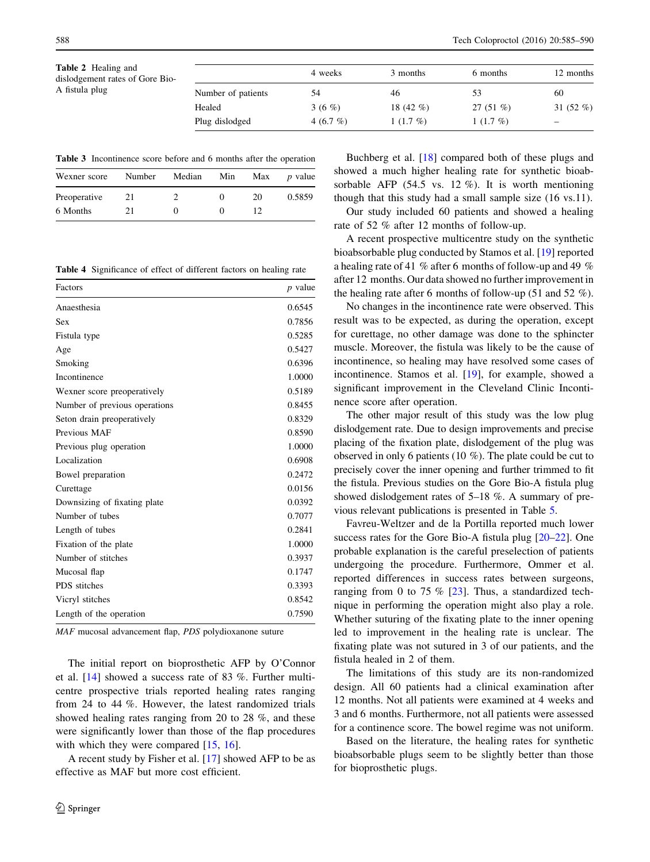<span id="page-3-0"></span>Table 2 Healing and dislodgement rates of Gore Bio-A fistula plug

|                    | 4 weeks      | 3 months     | 6 months   | 12 months    |  |
|--------------------|--------------|--------------|------------|--------------|--|
| Number of patients | 54           | 46           | 53         | 60           |  |
| Healed             | 3 (6 $%$ )   | 18 $(42 \%)$ | 27 $(51\%$ | 31 $(52 \%)$ |  |
| Plug dislodged     | 4 $(6.7 \%)$ | $1(1.7\%)$   | $1(1.7\%)$ |              |  |

Table 3 Incontinence score before and 6 months after the operation

| Wexner score | Number | Median | Min | Max | <i>p</i> value |
|--------------|--------|--------|-----|-----|----------------|
| Preoperative | 21     |        |     | 20  | 0.5859         |
| 6 Months     | 21     |        |     |     |                |

Table 4 Significance of effect of different factors on healing rate

| Factors                       | <i>p</i> value |
|-------------------------------|----------------|
| Anaesthesia                   | 0.6545         |
| Sex                           | 0.7856         |
| Fistula type                  | 0.5285         |
| Age                           | 0.5427         |
| Smoking                       | 0.6396         |
| <b>Incontinence</b>           | 1.0000         |
| Wexner score preoperatively   | 0.5189         |
| Number of previous operations | 0.8455         |
| Seton drain preoperatively    | 0.8329         |
| Previous MAF                  | 0.8590         |
| Previous plug operation       | 1.0000         |
| Localization                  | 0.6908         |
| Bowel preparation             | 0.2472         |
| Curettage                     | 0.0156         |
| Downsizing of fixating plate  | 0.0392         |
| Number of tubes               | 0.7077         |
| Length of tubes               | 0.2841         |
| Fixation of the plate         | 1.0000         |
| Number of stitches            | 0.3937         |
| Mucosal flap                  | 0.1747         |
| PDS stitches                  | 0.3393         |
| Vicryl stitches               | 0.8542         |
| Length of the operation       | 0.7590         |

MAF mucosal advancement flap, PDS polydioxanone suture

The initial report on bioprosthetic AFP by O'Connor et al. [\[14](#page-4-0)] showed a success rate of 83 %. Further multicentre prospective trials reported healing rates ranging from 24 to 44 %. However, the latest randomized trials showed healing rates ranging from 20 to 28 %, and these were significantly lower than those of the flap procedures with which they were compared [\[15](#page-4-0), [16](#page-4-0)].

A recent study by Fisher et al. [[17\]](#page-4-0) showed AFP to be as effective as MAF but more cost efficient.

Buchberg et al. [\[18](#page-4-0)] compared both of these plugs and showed a much higher healing rate for synthetic bioabsorbable AFP (54.5 vs. 12 %). It is worth mentioning though that this study had a small sample size (16 vs.11).

Our study included 60 patients and showed a healing rate of 52 % after 12 months of follow-up.

A recent prospective multicentre study on the synthetic bioabsorbable plug conducted by Stamos et al. [\[19](#page-4-0)] reported a healing rate of 41 % after 6 months of follow-up and 49 % after 12 months. Our data showed no further improvement in the healing rate after 6 months of follow-up (51 and 52  $\%$ ).

No changes in the incontinence rate were observed. This result was to be expected, as during the operation, except for curettage, no other damage was done to the sphincter muscle. Moreover, the fistula was likely to be the cause of incontinence, so healing may have resolved some cases of incontinence. Stamos et al. [[19](#page-4-0)], for example, showed a significant improvement in the Cleveland Clinic Incontinence score after operation.

The other major result of this study was the low plug dislodgement rate. Due to design improvements and precise placing of the fixation plate, dislodgement of the plug was observed in only 6 patients (10 %). The plate could be cut to precisely cover the inner opening and further trimmed to fit the fistula. Previous studies on the Gore Bio-A fistula plug showed dislodgement rates of 5–18 %. A summary of previous relevant publications is presented in Table [5.](#page-4-0)

Favreu-Weltzer and de la Portilla reported much lower success rates for the Gore Bio-A fistula plug [[20–22\]](#page-5-0). One probable explanation is the careful preselection of patients undergoing the procedure. Furthermore, Ommer et al. reported differences in success rates between surgeons, ranging from 0 to 75  $%$  [\[23](#page-5-0)]. Thus, a standardized technique in performing the operation might also play a role. Whether suturing of the fixating plate to the inner opening led to improvement in the healing rate is unclear. The fixating plate was not sutured in 3 of our patients, and the fistula healed in 2 of them.

The limitations of this study are its non-randomized design. All 60 patients had a clinical examination after 12 months. Not all patients were examined at 4 weeks and 3 and 6 months. Furthermore, not all patients were assessed for a continence score. The bowel regime was not uniform.

Based on the literature, the healing rates for synthetic bioabsorbable plugs seem to be slightly better than those for bioprosthetic plugs.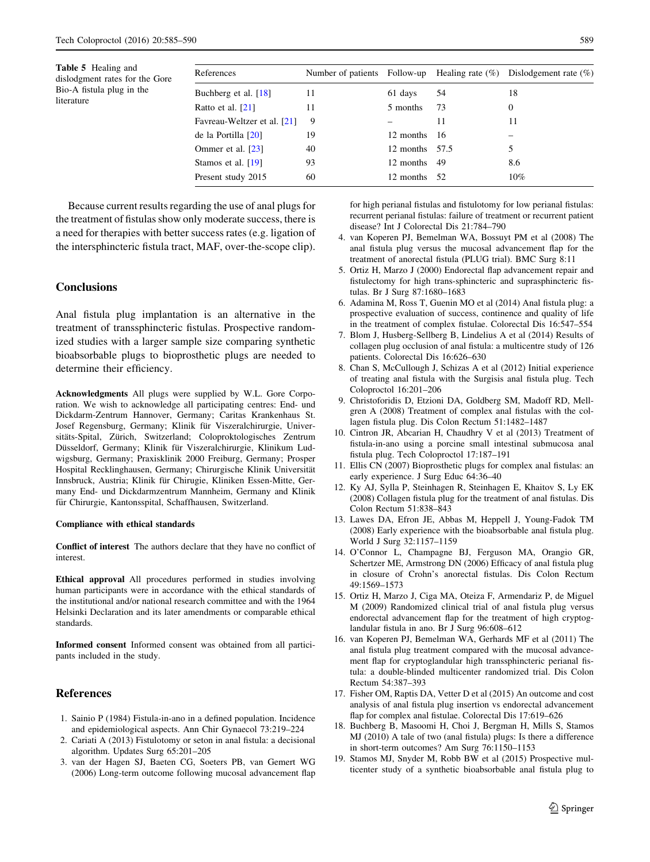<span id="page-4-0"></span>Table 5 Healing and dislodgment rates for the Gore Bio-A fistula plug in the literature

| References                  |    |                |      | Number of patients Follow-up Healing rate $(\%)$ Dislodgement rate $(\%)$ |
|-----------------------------|----|----------------|------|---------------------------------------------------------------------------|
| Buchberg et al. [18]        | 11 | 61 days        | 54   | 18                                                                        |
| Ratto et al. $[21]$         | 11 | 5 months       | 73   | 0                                                                         |
| Favreau-Weltzer et al. [21] | 9  |                | 11   | 11                                                                        |
| de la Portilla [20]         | 19 | 12 months      | - 16 |                                                                           |
| Ommer et al. [23]           | 40 | 12 months 57.5 |      |                                                                           |
| Stamos et al. [19]          | 93 | 12 months      | -49  | 8.6                                                                       |
| Present study 2015          | 60 | 12 months      | - 52 | $10\%$                                                                    |

Because current results regarding the use of anal plugs for the treatment of fistulas show only moderate success, there is a need for therapies with better success rates (e.g. ligation of the intersphincteric fistula tract, MAF, over-the-scope clip).

#### **Conclusions**

Anal fistula plug implantation is an alternative in the treatment of transsphincteric fistulas. Prospective randomized studies with a larger sample size comparing synthetic bioabsorbable plugs to bioprosthetic plugs are needed to determine their efficiency.

Acknowledgments All plugs were supplied by W.L. Gore Corporation. We wish to acknowledge all participating centres: End- und Dickdarm-Zentrum Hannover, Germany; Caritas Krankenhaus St. Josef Regensburg, Germany; Klinik für Viszeralchirurgie, Universitäts-Spital, Zürich, Switzerland; Coloproktologisches Zentrum Düsseldorf, Germany; Klinik für Viszeralchirurgie, Klinikum Ludwigsburg, Germany; Praxisklinik 2000 Freiburg, Germany; Prosper Hospital Recklinghausen, Germany; Chirurgische Klinik Universität Innsbruck, Austria; Klinik für Chirugie, Kliniken Essen-Mitte, Germany End- und Dickdarmzentrum Mannheim, Germany and Klinik für Chirurgie, Kantonsspital, Schaffhausen, Switzerland.

#### Compliance with ethical standards

Conflict of interest The authors declare that they have no conflict of interest.

Ethical approval All procedures performed in studies involving human participants were in accordance with the ethical standards of the institutional and/or national research committee and with the 1964 Helsinki Declaration and its later amendments or comparable ethical standards.

Informed consent Informed consent was obtained from all participants included in the study.

#### References

- 1. Sainio P (1984) Fistula-in-ano in a defined population. Incidence and epidemiological aspects. Ann Chir Gynaecol 73:219–224
- 2. Cariati A (2013) Fistulotomy or seton in anal fistula: a decisional algorithm. Updates Surg 65:201–205
- 3. van der Hagen SJ, Baeten CG, Soeters PB, van Gemert WG (2006) Long-term outcome following mucosal advancement flap

for high perianal fistulas and fistulotomy for low perianal fistulas: recurrent perianal fistulas: failure of treatment or recurrent patient disease? Int J Colorectal Dis 21:784–790

- 4. van Koperen PJ, Bemelman WA, Bossuyt PM et al (2008) The anal fistula plug versus the mucosal advancement flap for the treatment of anorectal fistula (PLUG trial). BMC Surg 8:11
- 5. Ortiz H, Marzo J (2000) Endorectal flap advancement repair and fistulectomy for high trans-sphincteric and suprasphincteric fistulas. Br J Surg 87:1680–1683
- 6. Adamina M, Ross T, Guenin MO et al (2014) Anal fistula plug: a prospective evaluation of success, continence and quality of life in the treatment of complex fistulae. Colorectal Dis 16:547–554
- 7. Blom J, Husberg-Sellberg B, Lindelius A et al (2014) Results of collagen plug occlusion of anal fistula: a multicentre study of 126 patients. Colorectal Dis 16:626–630
- 8. Chan S, McCullough J, Schizas A et al (2012) Initial experience of treating anal fistula with the Surgisis anal fistula plug. Tech Coloproctol 16:201–206
- 9. Christoforidis D, Etzioni DA, Goldberg SM, Madoff RD, Mellgren A (2008) Treatment of complex anal fistulas with the collagen fistula plug. Dis Colon Rectum 51:1482–1487
- 10. Cintron JR, Abcarian H, Chaudhry V et al (2013) Treatment of fistula-in-ano using a porcine small intestinal submucosa anal fistula plug. Tech Coloproctol 17:187–191
- 11. Ellis CN (2007) Bioprosthetic plugs for complex anal fistulas: an early experience. J Surg Educ 64:36–40
- 12. Ky AJ, Sylla P, Steinhagen R, Steinhagen E, Khaitov S, Ly EK (2008) Collagen fistula plug for the treatment of anal fistulas. Dis Colon Rectum 51:838–843
- 13. Lawes DA, Efron JE, Abbas M, Heppell J, Young-Fadok TM (2008) Early experience with the bioabsorbable anal fistula plug. World J Surg 32:1157–1159
- 14. O'Connor L, Champagne BJ, Ferguson MA, Orangio GR, Schertzer ME, Armstrong DN (2006) Efficacy of anal fistula plug in closure of Crohn's anorectal fistulas. Dis Colon Rectum 49:1569–1573
- 15. Ortiz H, Marzo J, Ciga MA, Oteiza F, Armendariz P, de Miguel M (2009) Randomized clinical trial of anal fistula plug versus endorectal advancement flap for the treatment of high cryptoglandular fistula in ano. Br J Surg 96:608–612
- 16. van Koperen PJ, Bemelman WA, Gerhards MF et al (2011) The anal fistula plug treatment compared with the mucosal advancement flap for cryptoglandular high transsphincteric perianal fistula: a double-blinded multicenter randomized trial. Dis Colon Rectum 54:387–393
- 17. Fisher OM, Raptis DA, Vetter D et al (2015) An outcome and cost analysis of anal fistula plug insertion vs endorectal advancement flap for complex anal fistulae. Colorectal Dis 17:619–626
- 18. Buchberg B, Masoomi H, Choi J, Bergman H, Mills S, Stamos MJ (2010) A tale of two (anal fistula) plugs: Is there a difference in short-term outcomes? Am Surg 76:1150–1153
- 19. Stamos MJ, Snyder M, Robb BW et al (2015) Prospective multicenter study of a synthetic bioabsorbable anal fistula plug to